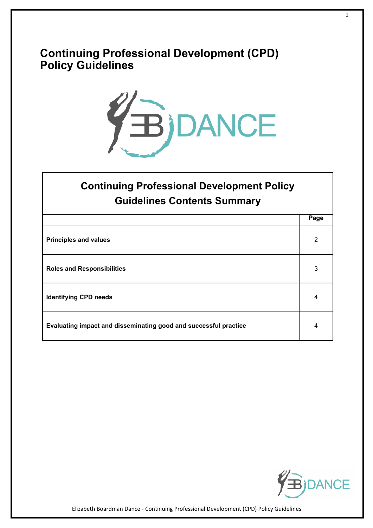### **Continuing Professional Development (CPD) Policy Guidelines**



# **Continuing Professional Development Policy Guidelines Contents Summary**

|                                                                  | Page |
|------------------------------------------------------------------|------|
| <b>Principles and values</b>                                     | 2    |
| <b>Roles and Responsibilities</b>                                | 3    |
| <b>Identifying CPD needs</b>                                     | 4    |
| Evaluating impact and disseminating good and successful practice | 4    |



Elizabeth Boardman Dance - Continuing Professional Development (CPD) Policy Guidelines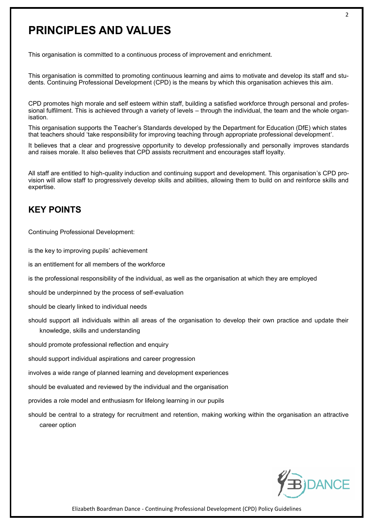## **PRINCIPLES AND VALUES**

This organisation is committed to a continuous process of improvement and enrichment.

This organisation is committed to promoting continuous learning and aims to motivate and develop its staff and students. Continuing Professional Development (CPD) is the means by which this organisation achieves this aim.

CPD promotes high morale and self esteem within staff, building a satisfied workforce through personal and professional fulfilment. This is achieved through a variety of levels – through the individual, the team and the whole organisation.

This organisation supports the Teacher's Standards developed by the Department for Education (DfE) which states that teachers should 'take responsibility for improving teaching through appropriate professional development'.

It believes that a clear and progressive opportunity to develop professionally and personally improves standards and raises morale. It also believes that CPD assists recruitment and encourages staff loyalty.

All staff are entitled to high-quality induction and continuing support and development. This organisation's CPD provision will allow staff to progressively develop skills and abilities, allowing them to build on and reinforce skills and expertise.

#### **KEY POINTS**

Continuing Professional Development:

is the key to improving pupils' achievement

is an entitlement for all members of the workforce

is the professional responsibility of the individual, as well as the organisation at which they are employed

should be underpinned by the process of self-evaluation

should be clearly linked to individual needs

should support all individuals within all areas of the organisation to develop their own practice and update their knowledge, skills and understanding

should promote professional reflection and enquiry

should support individual aspirations and career progression

involves a wide range of planned learning and development experiences

should be evaluated and reviewed by the individual and the organisation

provides a role model and enthusiasm for lifelong learning in our pupils

should be central to a strategy for recruitment and retention, making working within the organisation an attractive career option

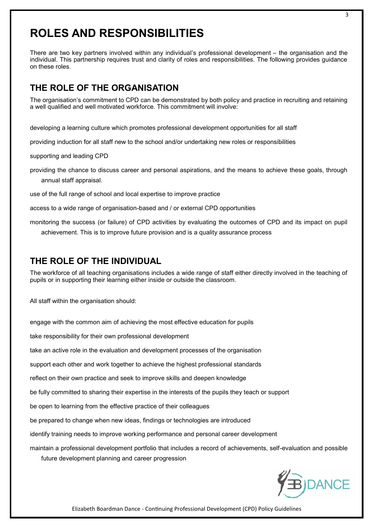## **ROLES AND RESPONSIBILITIES**

There are two key partners involved within any individual's professional development – the organisation and the individual. This partnership requires trust and clarity of roles and responsibilities. The following provides guidance on these roles.

#### **THE ROLE OF THE ORGANISATION**

The organisation's commitment to CPD can be demonstrated by both policy and practice in recruiting and retaining a well qualified and well motivated workforce. This commitment will involve:

developing a learning culture which promotes professional development opportunities for all staff

providing induction for all staff new to the school and/or undertaking new roles or responsibilities

supporting and leading CPD

providing the chance to discuss career and personal aspirations, and the means to achieve these goals, through annual staff appraisal.

use of the full range of school and local expertise to improve practice

access to a wide range of organisation-based and / or external CPD opportunities

monitoring the success (or failure) of CPD activities by evaluating the outcomes of CPD and its impact on pupil achievement. This is to improve future provision and is a quality assurance process

#### **THE ROLE OF THE INDIVIDUAL**

The workforce of all teaching organisations includes a wide range of staff either directly involved in the teaching of pupils or in supporting their learning either inside or outside the classroom.

All staff within the organisation should:

engage with the common aim of achieving the most effective education for pupils

take responsibility for their own professional development

take an active role in the evaluation and development processes of the organisation

support each other and work together to achieve the highest professional standards

reflect on their own practice and seek to improve skills and deepen knowledge

be fully committed to sharing their expertise in the interests of the pupils they teach or support

be open to learning from the effective practice of their colleagues

be prepared to change when new ideas, findings or technologies are introduced

identify training needs to improve working performance and personal career development

maintain a professional development portfolio that includes a record of achievements, self-evaluation and possible future development planning and career progression



Elizabeth Boardman Dance - Continuing Professional Development (CPD) Policy Guidelines